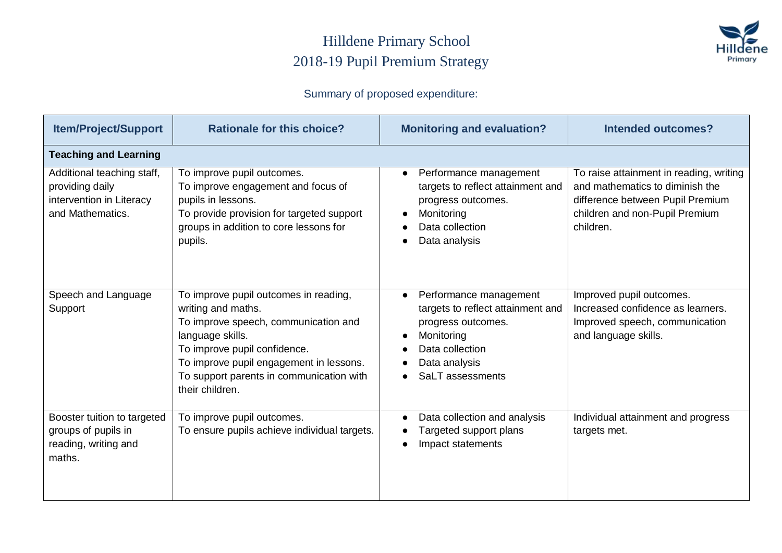#### Hilldene Primary School 2018-19 Pupil Premium Strategy



#### Summary of proposed expenditure:

| <b>Item/Project/Support</b>                                                                   | <b>Rationale for this choice?</b>                                                                                                                                                                                                                                 | <b>Monitoring and evaluation?</b>                                                                                                                                    | <b>Intended outcomes?</b>                                                                                                                                     |
|-----------------------------------------------------------------------------------------------|-------------------------------------------------------------------------------------------------------------------------------------------------------------------------------------------------------------------------------------------------------------------|----------------------------------------------------------------------------------------------------------------------------------------------------------------------|---------------------------------------------------------------------------------------------------------------------------------------------------------------|
| <b>Teaching and Learning</b>                                                                  |                                                                                                                                                                                                                                                                   |                                                                                                                                                                      |                                                                                                                                                               |
| Additional teaching staff,<br>providing daily<br>intervention in Literacy<br>and Mathematics. | To improve pupil outcomes.<br>To improve engagement and focus of<br>pupils in lessons.<br>To provide provision for targeted support<br>groups in addition to core lessons for<br>pupils.                                                                          | Performance management<br>$\bullet$<br>targets to reflect attainment and<br>progress outcomes.<br>Monitoring<br>Data collection<br>Data analysis                     | To raise attainment in reading, writing<br>and mathematics to diminish the<br>difference between Pupil Premium<br>children and non-Pupil Premium<br>children. |
| Speech and Language<br>Support                                                                | To improve pupil outcomes in reading,<br>writing and maths.<br>To improve speech, communication and<br>language skills.<br>To improve pupil confidence.<br>To improve pupil engagement in lessons.<br>To support parents in communication with<br>their children. | Performance management<br>$\bullet$<br>targets to reflect attainment and<br>progress outcomes.<br>Monitoring<br>Data collection<br>Data analysis<br>SaLT assessments | Improved pupil outcomes.<br>Increased confidence as learners.<br>Improved speech, communication<br>and language skills.                                       |
| Booster tuition to targeted<br>groups of pupils in<br>reading, writing and<br>maths.          | To improve pupil outcomes.<br>To ensure pupils achieve individual targets.                                                                                                                                                                                        | Data collection and analysis<br>Targeted support plans<br>Impact statements                                                                                          | Individual attainment and progress<br>targets met.                                                                                                            |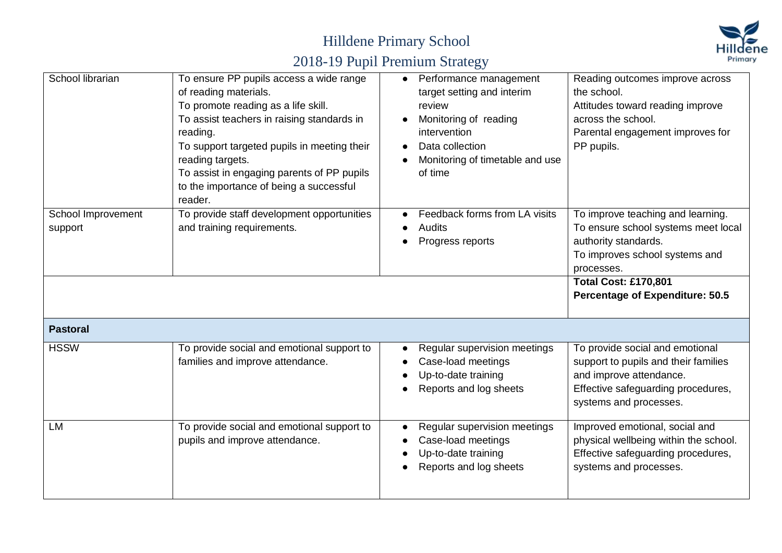

| School librarian              | To ensure PP pupils access a wide range<br>of reading materials.<br>To promote reading as a life skill.<br>To assist teachers in raising standards in<br>reading.<br>To support targeted pupils in meeting their<br>reading targets.<br>To assist in engaging parents of PP pupils<br>to the importance of being a successful<br>reader. | Performance management<br>$\bullet$<br>target setting and interim<br>review<br>Monitoring of reading<br>intervention<br>Data collection<br>Monitoring of timetable and use<br>of time | Reading outcomes improve across<br>the school.<br>Attitudes toward reading improve<br>across the school.<br>Parental engagement improves for<br>PP pupils.                                                                |
|-------------------------------|------------------------------------------------------------------------------------------------------------------------------------------------------------------------------------------------------------------------------------------------------------------------------------------------------------------------------------------|---------------------------------------------------------------------------------------------------------------------------------------------------------------------------------------|---------------------------------------------------------------------------------------------------------------------------------------------------------------------------------------------------------------------------|
| School Improvement<br>support | To provide staff development opportunities<br>and training requirements.                                                                                                                                                                                                                                                                 | Feedback forms from LA visits<br>Audits<br>Progress reports                                                                                                                           | To improve teaching and learning.<br>To ensure school systems meet local<br>authority standards.<br>To improves school systems and<br>processes.<br><b>Total Cost: £170,801</b><br><b>Percentage of Expenditure: 50.5</b> |
| <b>Pastoral</b>               |                                                                                                                                                                                                                                                                                                                                          |                                                                                                                                                                                       |                                                                                                                                                                                                                           |
| <b>HSSW</b>                   | To provide social and emotional support to<br>families and improve attendance.                                                                                                                                                                                                                                                           | Regular supervision meetings<br>Case-load meetings<br>Up-to-date training<br>Reports and log sheets                                                                                   | To provide social and emotional<br>support to pupils and their families<br>and improve attendance.<br>Effective safeguarding procedures,<br>systems and processes.                                                        |
| LM                            | To provide social and emotional support to<br>pupils and improve attendance.                                                                                                                                                                                                                                                             | Regular supervision meetings<br>Case-load meetings<br>Up-to-date training<br>Reports and log sheets                                                                                   | Improved emotional, social and<br>physical wellbeing within the school.<br>Effective safeguarding procedures,<br>systems and processes.                                                                                   |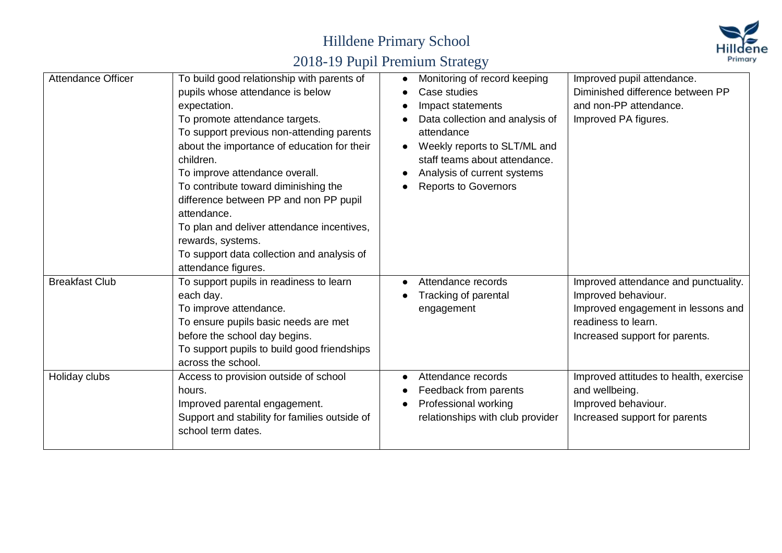

| Attendance Officer    | To build good relationship with parents of<br>pupils whose attendance is below<br>expectation.<br>To promote attendance targets.<br>To support previous non-attending parents<br>about the importance of education for their<br>children.<br>To improve attendance overall.<br>To contribute toward diminishing the<br>difference between PP and non PP pupil<br>attendance.<br>To plan and deliver attendance incentives,<br>rewards, systems.<br>To support data collection and analysis of<br>attendance figures. | Monitoring of record keeping<br>Case studies<br>Impact statements<br>Data collection and analysis of<br>attendance<br>Weekly reports to SLT/ML and<br>staff teams about attendance.<br>Analysis of current systems<br><b>Reports to Governors</b> | Improved pupil attendance.<br>Diminished difference between PP<br>and non-PP attendance.<br>Improved PA figures.                                           |
|-----------------------|----------------------------------------------------------------------------------------------------------------------------------------------------------------------------------------------------------------------------------------------------------------------------------------------------------------------------------------------------------------------------------------------------------------------------------------------------------------------------------------------------------------------|---------------------------------------------------------------------------------------------------------------------------------------------------------------------------------------------------------------------------------------------------|------------------------------------------------------------------------------------------------------------------------------------------------------------|
| <b>Breakfast Club</b> | To support pupils in readiness to learn<br>each day.<br>To improve attendance.<br>To ensure pupils basic needs are met<br>before the school day begins.<br>To support pupils to build good friendships<br>across the school.                                                                                                                                                                                                                                                                                         | Attendance records<br>Tracking of parental<br>engagement                                                                                                                                                                                          | Improved attendance and punctuality.<br>Improved behaviour.<br>Improved engagement in lessons and<br>readiness to learn.<br>Increased support for parents. |
| Holiday clubs         | Access to provision outside of school<br>hours.<br>Improved parental engagement.<br>Support and stability for families outside of<br>school term dates.                                                                                                                                                                                                                                                                                                                                                              | Attendance records<br>Feedback from parents<br>Professional working<br>relationships with club provider                                                                                                                                           | Improved attitudes to health, exercise<br>and wellbeing.<br>Improved behaviour.<br>Increased support for parents                                           |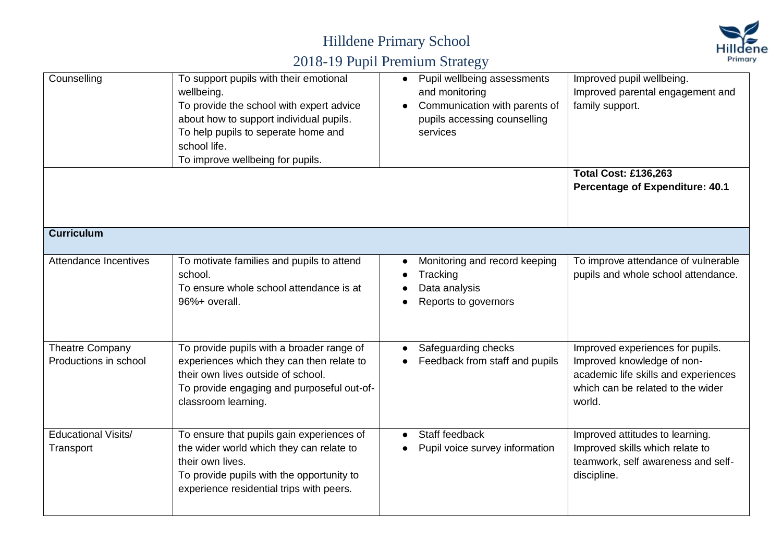

| Counselling                                     | To support pupils with their emotional<br>wellbeing.<br>To provide the school with expert advice<br>about how to support individual pupils.<br>To help pupils to seperate home and<br>school life.<br>To improve wellbeing for pupils. | Pupil wellbeing assessments<br>$\bullet$<br>and monitoring<br>Communication with parents of<br>pupils accessing counselling<br>services | Improved pupil wellbeing.<br>Improved parental engagement and<br>family support.<br><b>Total Cost: £136,263</b><br><b>Percentage of Expenditure: 40.1</b> |
|-------------------------------------------------|----------------------------------------------------------------------------------------------------------------------------------------------------------------------------------------------------------------------------------------|-----------------------------------------------------------------------------------------------------------------------------------------|-----------------------------------------------------------------------------------------------------------------------------------------------------------|
|                                                 |                                                                                                                                                                                                                                        |                                                                                                                                         |                                                                                                                                                           |
| <b>Curriculum</b>                               |                                                                                                                                                                                                                                        |                                                                                                                                         |                                                                                                                                                           |
| Attendance Incentives                           | To motivate families and pupils to attend<br>school.<br>To ensure whole school attendance is at<br>96%+ overall.                                                                                                                       | Monitoring and record keeping<br>Tracking<br>Data analysis<br>Reports to governors                                                      | To improve attendance of vulnerable<br>pupils and whole school attendance.                                                                                |
| <b>Theatre Company</b><br>Productions in school | To provide pupils with a broader range of<br>experiences which they can then relate to<br>their own lives outside of school.<br>To provide engaging and purposeful out-of-<br>classroom learning.                                      | Safeguarding checks<br>Feedback from staff and pupils                                                                                   | Improved experiences for pupils.<br>Improved knowledge of non-<br>academic life skills and experiences<br>which can be related to the wider<br>world.     |
| <b>Educational Visits/</b><br>Transport         | To ensure that pupils gain experiences of<br>the wider world which they can relate to<br>their own lives.<br>To provide pupils with the opportunity to<br>experience residential trips with peers.                                     | Staff feedback<br>Pupil voice survey information                                                                                        | Improved attitudes to learning.<br>Improved skills which relate to<br>teamwork, self awareness and self-<br>discipline.                                   |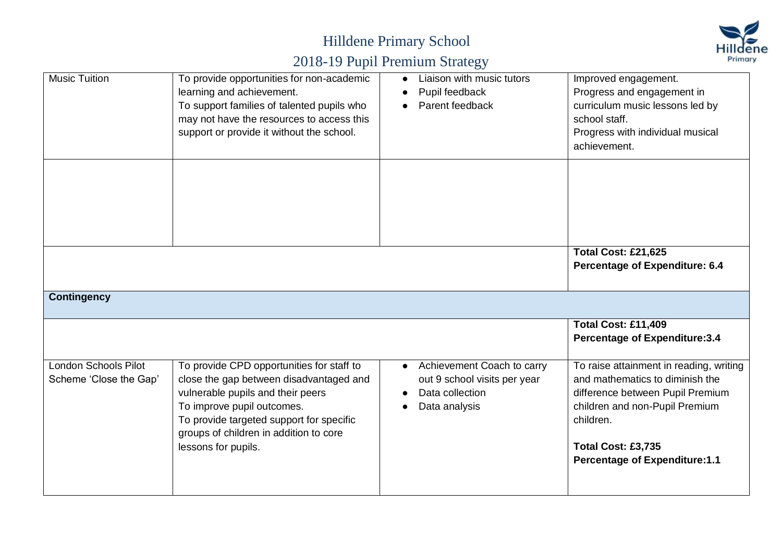

| <b>Music Tuition</b>        | To provide opportunities for non-academic                                              | Liaison with music tutors               | Improved engagement.                                               |
|-----------------------------|----------------------------------------------------------------------------------------|-----------------------------------------|--------------------------------------------------------------------|
|                             | learning and achievement.                                                              | Pupil feedback                          | Progress and engagement in                                         |
|                             | To support families of talented pupils who                                             | Parent feedback                         | curriculum music lessons led by                                    |
|                             | may not have the resources to access this<br>support or provide it without the school. |                                         | school staff.                                                      |
|                             |                                                                                        |                                         | Progress with individual musical<br>achievement.                   |
|                             |                                                                                        |                                         |                                                                    |
|                             |                                                                                        |                                         |                                                                    |
|                             |                                                                                        |                                         |                                                                    |
|                             |                                                                                        |                                         |                                                                    |
|                             |                                                                                        |                                         |                                                                    |
|                             |                                                                                        |                                         |                                                                    |
|                             |                                                                                        |                                         | <b>Total Cost: £21,625</b>                                         |
|                             |                                                                                        |                                         | <b>Percentage of Expenditure: 6.4</b>                              |
|                             |                                                                                        |                                         |                                                                    |
| <b>Contingency</b>          |                                                                                        |                                         |                                                                    |
|                             |                                                                                        |                                         |                                                                    |
|                             |                                                                                        |                                         | <b>Total Cost: £11,409</b>                                         |
|                             |                                                                                        |                                         | <b>Percentage of Expenditure:3.4</b>                               |
|                             |                                                                                        |                                         |                                                                    |
| <b>London Schools Pilot</b> | To provide CPD opportunities for staff to                                              | Achievement Coach to carry<br>$\bullet$ | To raise attainment in reading, writing                            |
| Scheme 'Close the Gap'      | close the gap between disadvantaged and                                                | out 9 school visits per year            | and mathematics to diminish the                                    |
|                             | vulnerable pupils and their peers<br>To improve pupil outcomes.                        | Data collection<br>Data analysis        | difference between Pupil Premium<br>children and non-Pupil Premium |
|                             | To provide targeted support for specific                                               |                                         | children.                                                          |
|                             | groups of children in addition to core                                                 |                                         |                                                                    |
|                             | lessons for pupils.                                                                    |                                         | Total Cost: £3,735                                                 |
|                             |                                                                                        |                                         | <b>Percentage of Expenditure:1.1</b>                               |
|                             |                                                                                        |                                         |                                                                    |
|                             |                                                                                        |                                         |                                                                    |